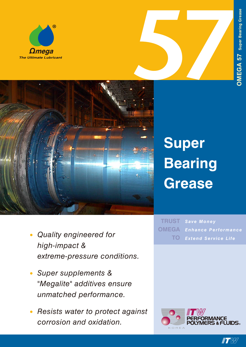





## **Super Bearing Grease**

- *• Quality engineered for high-impact & extreme-pressure conditions.*
- *• Super supplements & "Megalite" additives ensure unmatched performance.*
- *• Resists water to protect against corrosion and oxidation.*

*Save Money Enhance Performance Extend Service Life* **TRUST OMEGA TO**



**IT W**